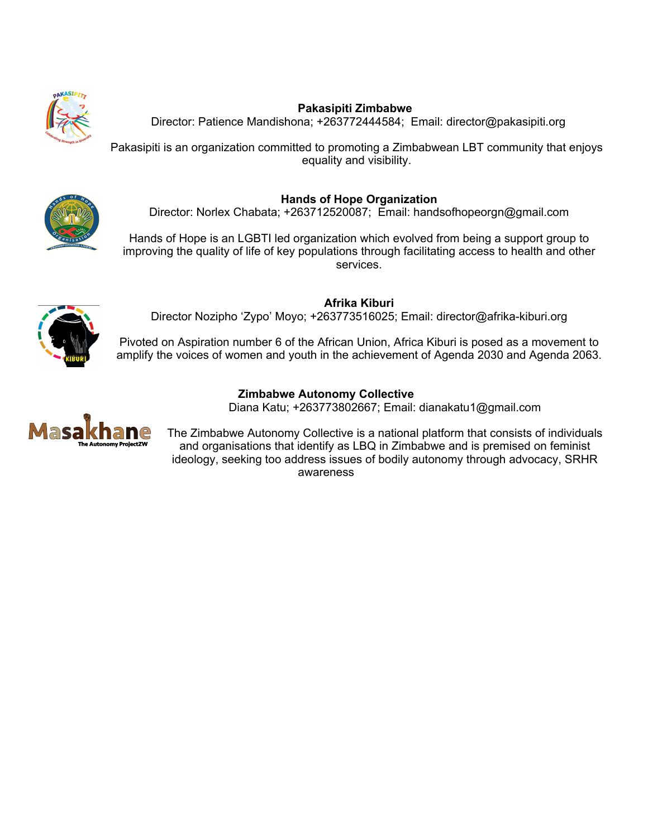

## **Pakasipiti Zimbabwe**

Director: Patience Mandishona; +263772444584; Email: director@pakasipiti.org

Pakasipiti is an organization committed to promoting <sup>a</sup> Zimbabwean LBT community that enjoys equality and visibility.



**Hands of Hope Organization** Director: Norlex Chabata; +263712520087; Email: handsofhopeorgn@gmail.com

Hands of Hope is an LGBTI led organization which evolved from being <sup>a</sup> support group to improving the quality of life of key populations through facilitating access to health and other services.

**Afrika Kiburi** Director Nozipho 'Zypo' Moyo; +263773516025; Email: director@afrika-kiburi.org

Pivoted on Aspiration number 6 of the African Union, Africa Kiburi is posed as <sup>a</sup> movement to amplify the voices of women and youth in the achievement of Agenda 2030 and Agenda 2063.

## **Zimbabwe Autonomy Collective**

Diana Katu; +263773802667; Email: dianakatu1@gmail.com



The Zimbabwe Autonomy Collective is <sup>a</sup> national platform that consists of individuals and organisations that identify as LBQ in Zimbabwe and is premised on feminist ideology, seeking too address issues of bodily autonomy through advocacy, SRHR awareness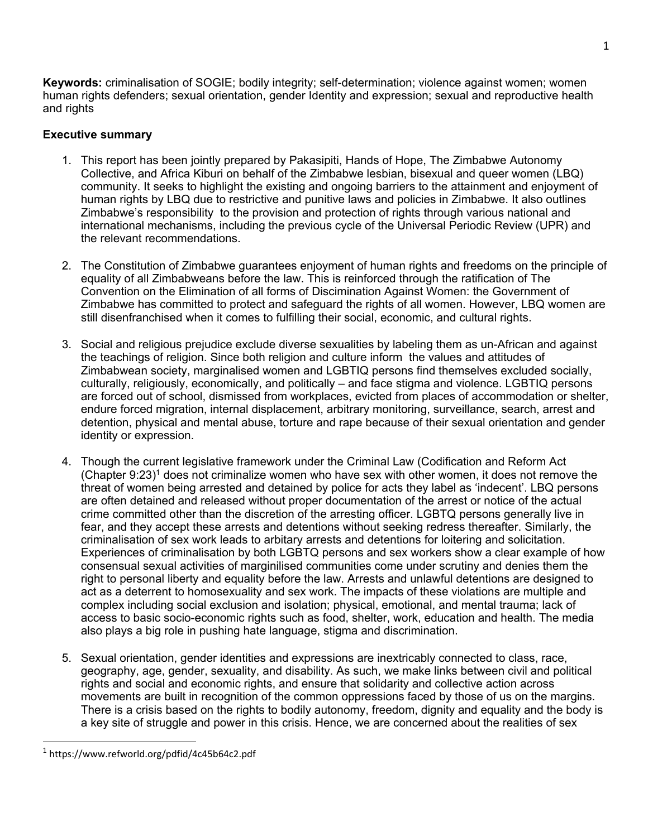**Keywords:** criminalisation of SOGIE; bodily integrity; self-determination; violence against women; women human rights defenders; sexual orientation, gender Identity and expression; sexual and reproductive health and rights

# **Executive summary**

- 1. This report has been jointly prepared by Pakasipiti, Hands of Hope, The Zimbabwe Autonomy Collective, and Africa Kiburi on behalf of the Zimbabwe lesbian, bisexual and queer women (LBQ) community. It seeks to highlight the existing and ongoing barriers to the attainment and enjoyment of human rights by LBQ due to restrictive and punitive laws and policies in Zimbabwe. It also outlines Zimbabwe'<sup>s</sup> responsibility to the provision and protection of rights through various national and international mechanisms, including the previous cycle of the Universal Periodic Review (UPR) and the relevant recommendations.
- 2. The Constitution of Zimbabwe guarantees enjoyment of human rights and freedoms on the principle of equality of all Zimbabweans before the law. This is reinforced through the ratification of The Convention on the Elimination of all forms of Discimination Against Women: the Government of Zimbabwe has committed to protect and safeguard the rights of all women. However, LBQ women are still disenfranchised when it comes to fulfilling their social, economic, and cultural rights.
- 3. Social and religious prejudice exclude diverse sexualities by labeling them as un-African and against the teachings of religion. Since both religion and culture inform the values and attitudes of Zimbabwean society, marginalised women and LGBTIQ persons find themselves excluded socially, culturally, religiously, economically, and politically – and face stigma and violence. LGBTIQ persons are forced out of school, dismissed from workplaces, evicted from places of accommodation or shelter, endure forced migration, internal displacement, arbitrary monitoring, surveillance, search, arrest and detention, physical and mental abuse, torture and rape because of their sexual orientation and gender identity or expression.
- 4. Though the current legislative framework under the Criminal Law (Codification and Reform Act (Chapter 9:23) $^{\rm 1}$  does not criminalize women who have sex with other women, it does not remove the threat of women being arrested and detained by police for acts they label as 'indecent'. LBQ persons are often detained and released without proper documentation of the arrest or notice of the actual crime committed other than the discretion of the arresting officer. LGBTQ persons generally live in fear, and they accept these arrests and detentions without seeking redress thereafter. Similarly, the criminalisation of sex work leads to arbitary arrests and detentions for loitering and solicitation. Experiences of criminalisation by both LGBTQ persons and sex workers show <sup>a</sup> clear example of how consensual sexual activities of marginilised communities come under scrutiny and denies them the right to personal liberty and equality before the law. Arrests and unlawful detentions are designed to act as <sup>a</sup> deterrent to homosexuality and sex work. The impacts of these violations are multiple and complex including social exclusion and isolation; physical, emotional, and mental trauma; lack of access to basic socio-economic rights such as food, shelter, work, education and health. The media also plays <sup>a</sup> big role in pushing hate language, stigma and discrimination.
- 5. Sexual orientation, gender identities and expressions are inextricably connected to class, race, geography, age, gender, sexuality, and disability. As such, we make links between civil and political rights and social and economic rights, and ensure that solidarity and collective action across movements are built in recognition of the common oppressions faced by those of us on the margins. There is <sup>a</sup> crisis based on the rights to bodily autonomy, freedom, dignity and equality and the body is <sup>a</sup> key site of struggle and power in this crisis. Hence, we are concerned about the realities of sex

<sup>1</sup> https://www.refworld.org/pdfid/4c45b64c2.pdf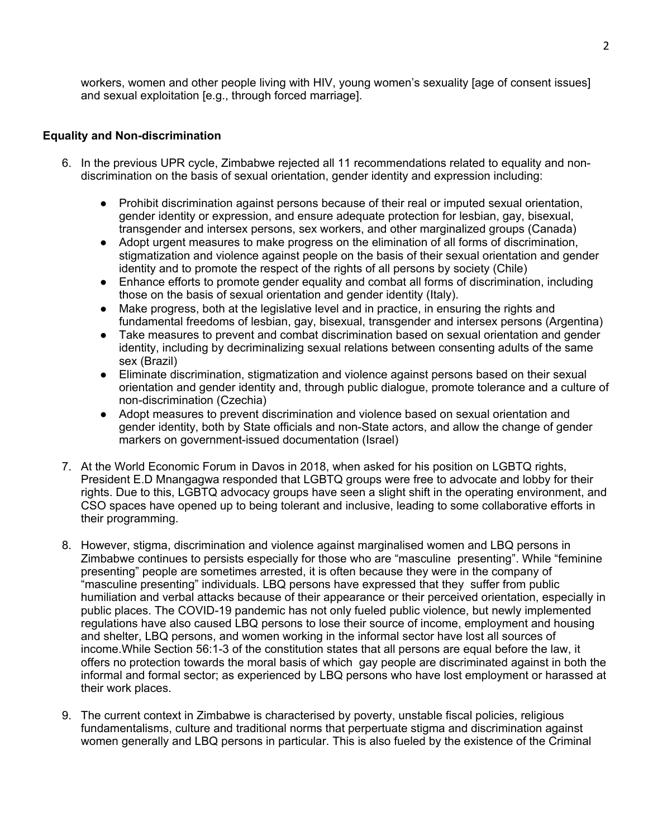workers, women and other people living with HIV, young women'<sup>s</sup> sexuality [age of consent issues] and sexual exploitation [e.g., through forced marriage].

#### **Equality and Non-discrimination**

- 6. In the previous UPR cycle, Zimbabwe rejected all 11 recommendations related to equality and nondiscrimination on the basis of sexual orientation, gender identity and expression including:
	- Prohibit discrimination against persons because of their real or imputed sexual orientation, gender identity or expression, and ensure adequate protection for lesbian, gay, bisexual, transgender and intersex persons, sex workers, and other marginalized groups (Canada)
	- ● Adopt urgent measures to make progress on the elimination of all forms of discrimination, stigmatization and violence against people on the basis of their sexual orientation and gender identity and to promote the respect of the rights of all persons by society (Chile)
	- $\bullet$  Enhance efforts to promote gender equality and combat all forms of discrimination, including those on the basis of sexual orientation and gender identity (Italy).
	- Make progress, both at the legislative level and in practice, in ensuring the rights and fundamental freedoms of lesbian, gay, bisexual, transgender and intersex persons (Argentina)
	- $\bullet$  Take measures to prevent and combat discrimination based on sexual orientation and gender identity, including by decriminalizing sexual relations between consenting adults of the same sex (Brazil)
	- ● Eliminate discrimination, stigmatization and violence against persons based on their sexual orientation and gender identity and, through public dialogue, promote tolerance and <sup>a</sup> culture of non-discrimination (Czechia)
	- Adopt measures to prevent discrimination and violence based on sexual orientation and gender identity, both by State officials and non-State actors, and allow the change of gender markers on government-issued documentation (Israel)
- 7. At the World Economic Forum in Davos in 2018, when asked for his position on LGBTQ rights, President E.D Mnangagwa responded that LGBTQ groups were free to advocate and lobby for their rights. Due to this, LGBTQ advocacy groups have seen <sup>a</sup> slight shift in the operating environment, and CSO spaces have opened up to being tolerant and inclusive, leading to some collaborative efforts in their programming.
- 8. However, stigma, discrimination and violence against marginalised women and LBQ persons in Zimbabwe continues to persists especially for those who are "masculine presenting". While "feminine presenting" people are sometimes arrested, it is often because they were in the company of "masculine presenting" individuals. LBQ persons have expressed that they suffer from public humiliation and verbal attacks because of their appearance or their perceived orientation, especially in public places. The COVID-19 pandemic has not only fueled public violence, but newly implemented regulations have also caused LBQ persons to lose their source of income, employment and housing and shelter, LBQ persons, and women working in the informal sector have lost all sources of income.While Section 56:1-3 of the constitution states that all persons are equal before the law, it offers no protection towards the moral basis of which gay people are discriminated against in both the informal and formal sector; as experienced by LBQ persons who have lost employment or harassed at their work places.
- 9. The current context in Zimbabwe is characterised by poverty, unstable fiscal policies, religious fundamentalisms, culture and traditional norms that perpertuate stigma and discrimination against women generally and LBQ persons in particular. This is also fueled by the existence of the Criminal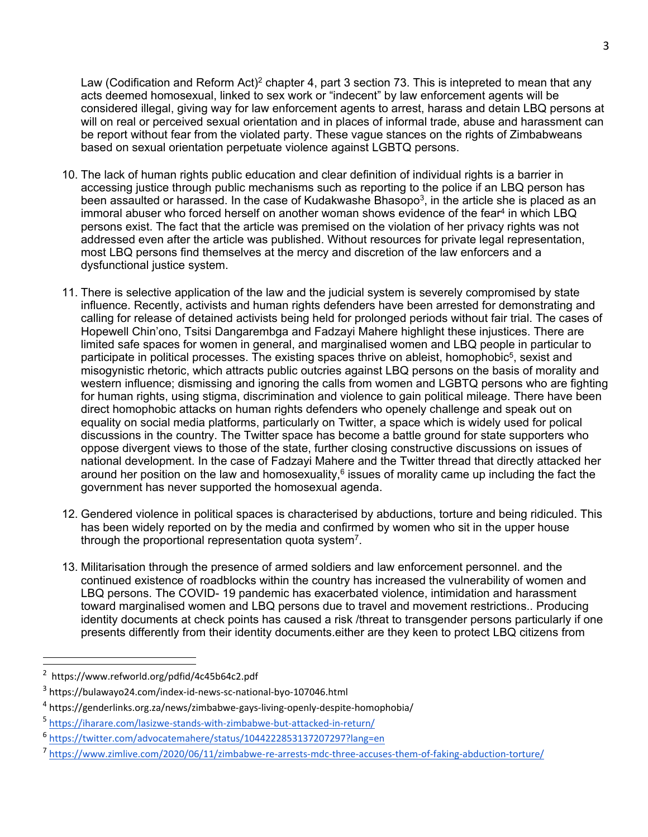Law (Codification and Reform Act) $^2$  chapter 4, part 3 section 73. This is intepreted to mean that any acts deemed homosexual, linked to sex work or "indecent" by law enforcement agents will be considered illegal, giving way for law enforcement agents to arrest, harass and detain LBQ persons at will on real or perceived sexual orientation and in places of informal trade, abuse and harassment can be report without fear from the violated party. These vague stances on the rights of Zimbabweans based on sexual orientation perpetuate violence against LGBTQ persons.

- 10. The lack of human rights public education and clear definition of individual rights is <sup>a</sup> barrier in accessing justice through public mechanisms such as reporting to the police if an LBQ person has been assaulted or harassed. In the case of Kudakwashe Bhasopo $^3\!,$  in the article she is placed as an immoral abuser who forced herself on another woman shows evidence of the fear<sup>4</sup> in which LBQ persons exist. The fact that the article was premised on the violation of her privacy rights was not addressed even after the article was published. Without resources for private legal representation, most LBQ persons find themselves at the mercy and discretion of the law enforcers and <sup>a</sup> dysfunctional justice system.
- 11. There is selective application of the law and the judicial system is severely compromised by state influence. Recently, activists and human rights defenders have been arrested for demonstrating and calling for release of detained activists being held for prolonged periods without fair trial. The cases of Hopewell Chin'ono, Tsitsi Dangarembga and Fadzayi Mahere highlight these injustices. There are limited safe spaces for women in general, and marginalised women and LBQ people in particular to participate in political processes. The existing spaces thrive on ableist, homophobic $^5$ , sexist and misogynistic rhetoric, which attracts public outcries against LBQ persons on the basis of morality and western influence; dismissing and ignoring the calls from women and LGBTQ persons who are fighting for human rights, using stigma, discrimination and violence to gain political mileage. There have been direct homophobic attacks on human rights defenders who openely challenge and speak out on equality on social media platforms, particularly on Twitter, <sup>a</sup> space which is widely used for polical discussions in the country. The Twitter space has become <sup>a</sup> battle ground for state supporters who oppose divergent views to those of the state, further closing constructive discussions on issues of national development. In the case of Fadzayi Mahere and the Twitter thread that directly attacked her around her position on the law and homosexuality, $^6$  issues of morality came up including the fact the government has never supported the homosexual agenda.
- 12. Gendered violence in political spaces is characterised by abductions, torture and being ridiculed. This has been widely reported on by the media and confirmed by women who sit in the upper house through the proportional representation quota system $^7\!$
- 13. Militarisation through the presence of armed soldiers and law enforcement personnel. and the continued existence of roadblocks within the country has increased the vulnerability of women and LBQ persons. The COVID- 19 pandemic has exacerbated violence, intimidation and harassment toward marginalised women and LBQ persons due to travel and movement restrictions.. Producing identity documents at check points has caused <sup>a</sup> risk /threat to transgender persons particularly if one presents differently from their identity documents.either are they keen to protect LBQ citizens from

<sup>2</sup> <https://www.refworld.org/pdfid/4c45b64c2.pdf>

<sup>3</sup> <https://bulawayo24.com/index-id-news-sc-national-byo-107046.html>

<sup>4</sup> <https://genderlinks.org.za/news/zimbabwe-gays-living-openly-despite-homophobia/>

<sup>5</sup> <https://iharare.com/lasizwe-stands-with-zimbabwe-but-attacked-in-return/>

<sup>6</sup> <https://twitter.com/advocatemahere/status/1044222853137207297?lang=en>

<sup>7</sup> <https://www.zimlive.com/2020/06/11/zimbabwe-re-arrests-mdc-three-accuses-them-of-faking-abduction-torture/>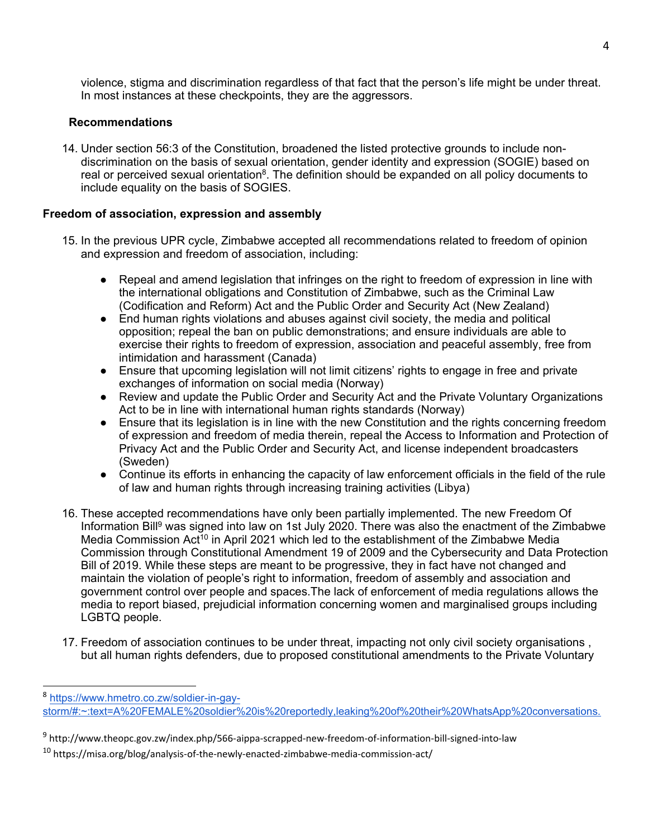violence, stigma and discrimination regardless of that fact that the person'<sup>s</sup> life might be under threat. In most instances at these checkpoints, they are the aggressors.

### **Recommendations**

14. Under section 56:3 of the Constitution, broadened the listed protective grounds to include nondiscrimination on the basis of sexual orientation, gender identity and expression (SOGIE) based on real or perceived sexual orientation<sup>s</sup>. The definition should be expanded on all policy documents to include equality on the basis of SOGIES.

## **Freedom of association, expression and assembly**

- 15. In the previous UPR cycle, Zimbabwe accepted all recommendations related to freedom of opinion and expression and freedom of association, including:
	- Repeal and amend legislation that infringes on the right to freedom of expression in line with the international obligations and Constitution of Zimbabwe, such as the Criminal Law (Codification and Reform) Act and the Public Order and Security Act (New Zealand)
	- $\bullet$  End human rights violations and abuses against civil society, the media and political opposition; repeal the ban on public demonstrations; and ensure individuals are able to exercise their rights to freedom of expression, association and peaceful assembly, free from intimidation and harassment (Canada)
	- ● Ensure that upcoming legislation will not limit citizens' rights to engage in free and private exchanges of information on social media (Norway)
	- ● Review and update the Public Order and Security Act and the Private Voluntary Organizations Act to be in line with international human rights standards (Norway)
	- Ensure that its legislation is in line with the new Constitution and the rights concerning freedom of expression and freedom of media therein, repeal the Access to Information and Protection of Privacy Act and the Public Order and Security Act, and license independent broadcasters (Sweden)
	- Continue its efforts in enhancing the capacity of law enforcement officials in the field of the rule of law and human rights through increasing training activities (Libya)
- 16. These accepted recommendations have only been partially implemented. The new Freedom Of Information Bill<sup>9</sup> was signed into law on 1st July 2020. There was also the enactment of the Zimbabwe Media Commission Act<sup>10</sup> in April 2021 which led to the establishment of the Zimbabwe Media Commission through Constitutional Amendment 19 of 2009 and the Cybersecurity and Data Protection Bill of 2019. While these steps are meant to be progressive, they in fact have not changed and maintain the violation of people'<sup>s</sup> right to information, freedom of assembly and association and government control over people and spaces.The lack of enforcement of media regulations allows the media to report biased, prejudicial information concerning women and marginalised groups including LGBTQ people.
- 17. Freedom of association continues to be under threat, impacting not only civil society organisations , but all human rights defenders, due to proposed constitutional amendments to the Private Voluntary

<sup>8</sup> [https://www.hmetro.co.zw/soldier-in-gay](https://www.hmetro.co.zw/soldier-in-gay-storm/#:~:text=A%20FEMALE%20soldier%20is%20reportedly,leaking%20of%20their%20WhatsApp%20conversations.)[storm/#:~:text=A%20FEMALE%20soldier%20is%20reportedly,leaking%20of%20their%20WhatsApp%20conversations.](https://www.hmetro.co.zw/soldier-in-gay-storm/#:~:text=A%20FEMALE%20soldier%20is%20reportedly,leaking%20of%20their%20WhatsApp%20conversations.)

<sup>9</sup> http://www.theopc.gov.zw/index.php/566-aippa-scrapped-new-freedom-of-information-bill-signed-into-law

<sup>&</sup>lt;sup>10</sup> https://misa.org/blog/analysis-of-the-newly-enacted-zimbabwe-media-commission-act/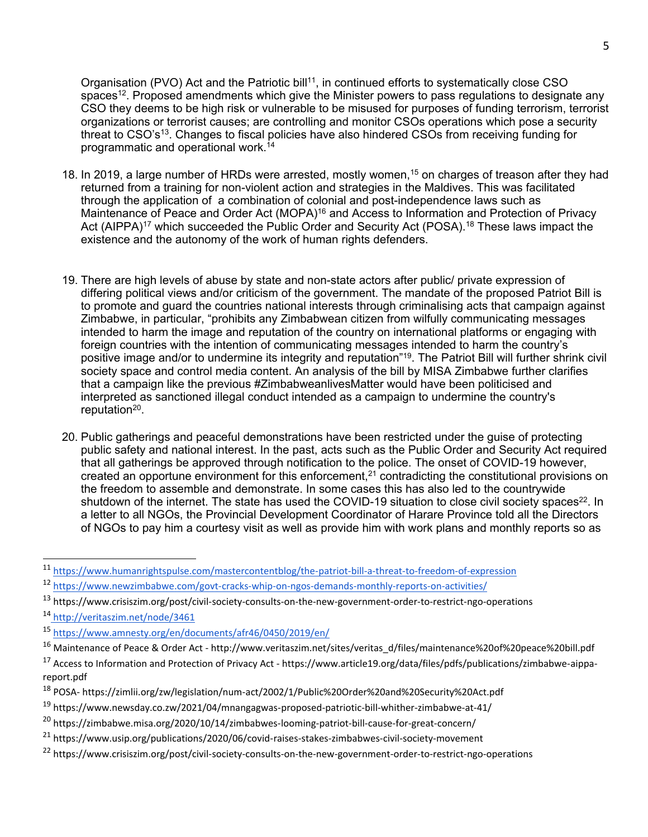Organisation (PVO) Act and the Patriotic bill $^{11}$ , in continued efforts to systematically close CSO spaces $^{\mathsf{12}}.$  Proposed amendments which give the Minister powers to pass regulations to designate any CSO they deems to be high risk or vulnerable to be misused for purposes of funding terrorism, terrorist organizations or terrorist causes; are controlling and monitor CSOs operations which pose <sup>a</sup> security threat to CSO's $^{\rm 13}$ . Changes to fiscal policies have also hindered CSOs from receiving funding for programmatic and operational work. 14

- 18. In 2019, <sup>a</sup> large number of HRDs were arrested, mostly women, 15 on charges of treason after they had returned from <sup>a</sup> training for non-violent action and strategies in the Maldives. This was facilitated through the application of <sup>a</sup> combination of colonial and post-independence laws such as Maintenance of Peace and Order Act (MOPA)<sup>16</sup> and Access to Information and Protection of Privacy Act (AIPPA)<sup>17</sup> which succeeded the Public Order and Security Act (POSA).<sup>18</sup> These laws impact the existence and the autonomy of the work of human rights defenders.
- 19. There are high levels of abuse by state and non-state actors after public/ private expression of differing political views and/or criticism of the government. The mandate of the proposed Patriot Bill is to promote and guard the countries national interests through criminalising acts that campaign against Zimbabwe, in particular, "prohibits any Zimbabwean citizen from wilfully communicating messages intended to harm the image and reputation of the country on international platforms or engaging with foreign countries with the intention of communicating messages intended to harm the country'<sup>s</sup> positive image and/or to undermine its integrity and reputation"<sup>19</sup>. The Patriot Bill will further shrink civil society space and control media content. An analysis of the bill by MISA Zimbabwe further clarifies that <sup>a</sup> campaign like the previous #ZimbabweanlivesMatter would have been politicised and interpreted as sanctioned illegal conduct intended as <sup>a</sup> campaign to undermine the country's reputation<sup>20</sup>.
- 20. Public gatherings and peaceful demonstrations have been restricted under the guise of protecting public safety and national interest. In the past, acts such as the Public Order and Security Act required that all gatherings be approved through notification to the police. The onset of COVID-19 however, created an opportune environment for this enforcement, $^{\mathrm{21}}$  contradicting the constitutional provisions on the freedom to assemble and demonstrate. In some cases this has also led to the countrywide shutdown of the internet. The state has used the COVID-19 situation to close civil society spaces $^{22}$ . In <sup>a</sup> letter to all NGOs, the Provincial Development Coordinator of Harare Province told all the Directors of NGOs to pay him <sup>a</sup> courtesy visit as well as provide him with work plans and monthly reports so as

<sup>11</sup> <https://www.humanrightspulse.com/mastercontentblog/the-patriot-bill-a-threat-to-freedom-of-expression>

<sup>&</sup>lt;sup>12</sup> <https://www.newzimbabwe.com/govt-cracks-whip-on-ngos-demands-monthly-reports-on-activities/>

<sup>&</sup>lt;sup>13</sup> https://www.crisiszim.org/post/civil-society-consults-on-the-new-government-order-to-restrict-ngo-operations

<sup>&</sup>lt;sup>14</sup> <http://veritaszim.net/node/3461>

<sup>15</sup> <https://www.amnesty.org/en/documents/afr46/0450/2019/en/>

<sup>&</sup>lt;sup>16</sup> Maintenance of Peace & Order Act - [http://www.veritaszim.net/sites/veritas\\_d/files/maintenance%20of%20peace%20bill.pdf](http://www.veritaszim.net/sites/veritas_d/files/maintenance%20of%20peace%20bill.pdf)

<sup>&</sup>lt;sup>17</sup> Access to Information and Protection of Privacy Act - [https://www.article19.org/data/files/pdfs/publications/zimbabwe-aippa](https://www.article19.org/data/files/pdfs/publications/zimbabwe-aippa-report.pdf)[report.pdf](https://www.article19.org/data/files/pdfs/publications/zimbabwe-aippa-report.pdf)

<sup>&</sup>lt;sup>18</sup> POSA- <https://zimlii.org/zw/legislation/num-act/2002/1/Public%20Order%20and%20Security%20Act.pdf>

<sup>&</sup>lt;sup>19</sup> <https://www.newsday.co.zw/2021/04/mnangagwas-proposed-patriotic-bill-whither-zimbabwe-at-41/>

<sup>&</sup>lt;sup>20</sup> <https://zimbabwe.misa.org/2020/10/14/zimbabwes-looming-patriot-bill-cause-for-great-concern/>

<sup>&</sup>lt;sup>21</sup> <https://www.usip.org/publications/2020/06/covid-raises-stakes-zimbabwes-civil-society-movement>

<sup>&</sup>lt;sup>22</sup> <https://www.crisiszim.org/post/civil-society-consults-on-the-new-government-order-to-restrict-ngo-operations>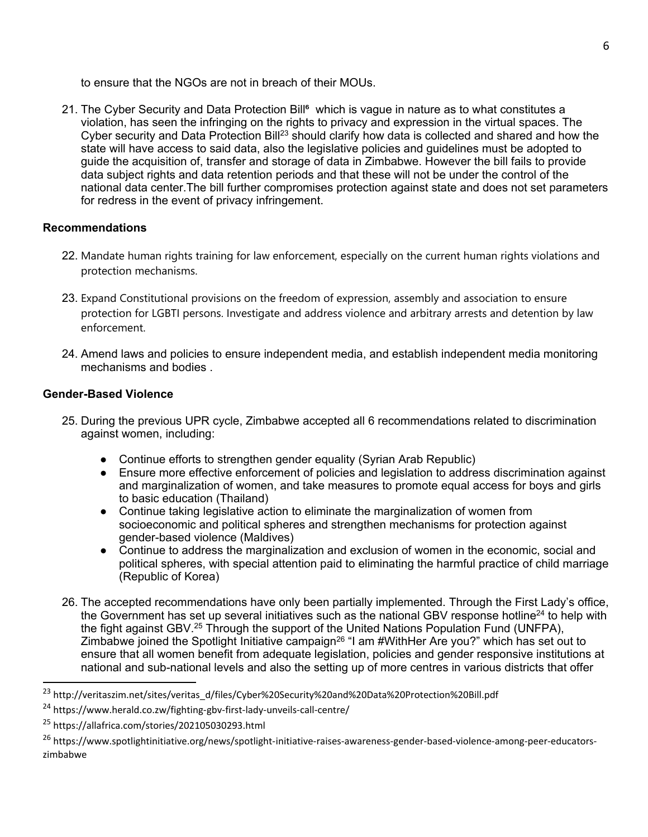to ensure that the NGOs are not in breach of their MOUs.

21. The Cyber Security and Data Protection Bill<sup>e</sup> which is vague in nature as to what constitutes a violation, has seen the infringing on the rights to privacy and expression in the virtual spaces. The Cyber security and Data Protection Bill $^{\rm 23}$  should clarify how data is collected and shared and how the state will have access to said data, also the legislative policies and guidelines must be adopted to guide the acquisition of, transfer and storage of data in Zimbabwe. However the bill fails to provide data subject rights and data retention periods and that these will not be under the control of the national data center.The bill further compromises protection against state and does not set parameters for redress in the event of privacy infringement.

# **Recommendations**

- 22. Mandate human rights training for law enforcement, especially on the current human rights violations and protection mechanisms.
- 23. Expand Constitutional provisions on the freedom of expression, assembly and association to ensure protection for LGBTI persons. Investigate and address violence and arbitrary arrests and detention by law enforcement.
- 24. Amend laws and policies to ensure independent media, and establish independent media monitoring mechanisms and bodies .

# **Gender-Based Violence**

- 25. During the previous UPR cycle, Zimbabwe accepted all 6 recommendations related to discrimination against women, including:
	- Continue efforts to strengthen gender equality (Syrian Arab Republic)
	- Ensure more effective enforcement of policies and legislation to address discrimination against and marginalization of women, and take measures to promote equal access for boys and girls to basic education (Thailand)
	- Continue taking legislative action to eliminate the marginalization of women from socioeconomic and political spheres and strengthen mechanisms for protection against gender-based violence (Maldives)
	- Continue to address the marginalization and exclusion of women in the economic, social and political spheres, with special attention paid to eliminating the harmful practice of child marriage (Republic of Korea)
- 26. The accepted recommendations have only been partially implemented. Through the First Lady'<sup>s</sup> office, the Government has set up several initiatives such as the national GBV response hotline<sup>24</sup> to help with the fight against GBV.<sup>25</sup> Through the support of the United Nations Population Fund (UNFPA), Zimbabwe joined the Spotlight Initiative campaign<sup>26</sup> "I am #WithHer Are you?" which has set out to ensure that all women benefit from adequate legislation, policies and gender responsive institutions at national and sub-national levels and also the setting up of more centres in various districts that offer

<sup>&</sup>lt;sup>23</sup> http://veritaszim.net/sites/veritas\_d/files/Cyber%20Security%20and%20Data%20Protection%20Bill.pdf

<sup>&</sup>lt;sup>24</sup> <https://www.herald.co.zw/fighting-gbv-first-lady-unveils-call-centre/>

<sup>&</sup>lt;sup>25</sup> https://allafrica.com/stories/202105030293.html

<sup>&</sup>lt;sup>26</sup> [https://www.spotlightinitiative.org/news/spotlight-initiative-raises-awareness-gender-based-violence-among-peer-educators](https://www.spotlightinitiative.org/news/spotlight-initiative-raises-awareness-gender-based-violence-among-peer-educators-zimbabwe)[zimbabwe](https://www.spotlightinitiative.org/news/spotlight-initiative-raises-awareness-gender-based-violence-among-peer-educators-zimbabwe)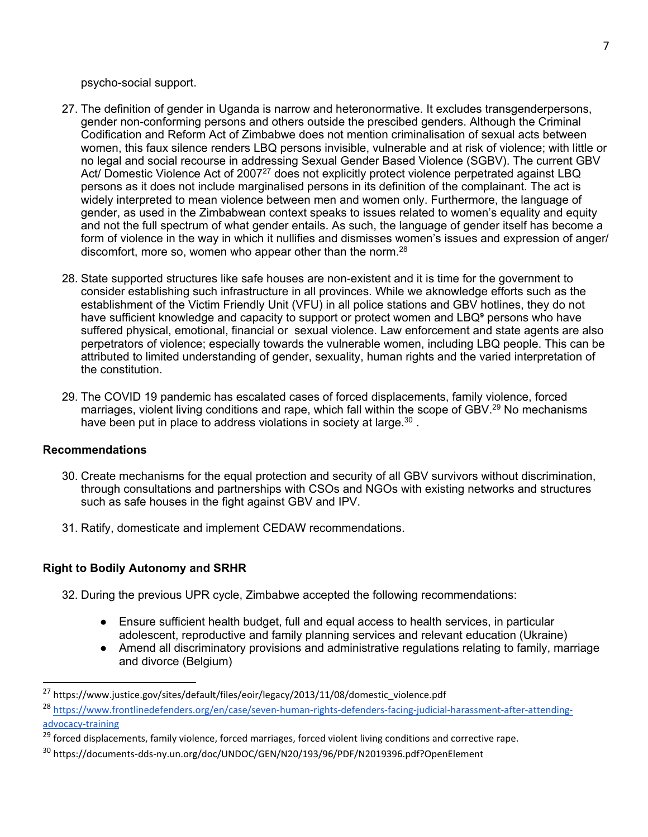psycho-social support.

- 27. The definition of gender in Uganda is narrow and heteronormative. It excludes transgenderpersons, gender non-conforming persons and others outside the prescibed genders. Although the Criminal Codification and Reform Act of Zimbabwe does not mention criminalisation of sexual acts between women, this faux silence renders LBQ persons invisible, vulnerable and at risk of violence; with little or no legal and social recourse in addressing Sexual Gender Based Violence (SGBV). The current GBV Act/ Domestic Violence Act of 2007 $^{27}$  does not explicitly protect violence perpetrated against LBQ persons as it does not include marginalised persons in its definition of the complainant. The act is widely interpreted to mean violence between men and women only. Furthermore, the language of gender, as used in the Zimbabwean context speaks to issues related to women'<sup>s</sup> equality and equity and not the full spectrum of what gender entails. As such, the language of gender itself has become <sup>a</sup> form of violence in the way in which it nullifies and dismisses women'<sup>s</sup> issues and expression of anger/ discomfort, more so, women who appear other than the norm. $^{28}\,$
- 28. State supported structures like safe houses are non-existent and it is time for the government to consider establishing such infrastructure in all provinces. While we aknowledge efforts such as the establishment of the Victim Friendly Unit (VFU) in all police stations and GBV hotlines, they do not have sufficient knowledge and capacity to support or protect women and LBQ<sup>9</sup> persons who have suffered physical, emotional, financial or sexual violence. Law enforcement and state agents are also perpetrators of violence; especially towards the vulnerable women, including LBQ people. This can be attributed to limited understanding of gender, sexuality, human rights and the varied interpretation of the constitution.
- 29. The COVID 19 pandemic has escalated cases of forced displacements, family violence, forced marriages, violent living conditions and rape, which fall within the scope of GBV.<sup>29</sup> No mechanisms have been put in place to address violations in society at large. $^{\rm 30}$  .

### **Recommendations**

- 30. Create mechanisms for the equal protection and security of all GBV survivors without discrimination, through consultations and partnerships with CSOs and NGOs with existing networks and structures such as safe houses in the fight against GBV and IPV.
- 31. Ratify, domesticate and implement CEDAW recommendations.

# **Right to Bodily Autonomy and SRHR**

- 32. During the previous UPR cycle, Zimbabwe accepted the following recommendations:
	- $\bullet$  Ensure sufficient health budget, full and equal access to health services, in particular adolescent, reproductive and family planning services and relevant education (Ukraine)
	- Amend all discriminatory provisions and administrative regulations relating to family, marriage and divorce (Belgium)

<sup>&</sup>lt;sup>27</sup> https://www.justice.gov/sites/default/files/eoir/legacy/2013/11/08/domestic\_violence.pdf

<sup>&</sup>lt;sup>28</sup> [https://www.frontlinedefenders.org/en/case/seven-human-rights-defenders-facing-judicial-harassment-after-attending](https://www.frontlinedefenders.org/en/case/seven-human-rights-defenders-facing-judicial-harassment-after-attending-advocacy-training)[advocacy-training](https://www.frontlinedefenders.org/en/case/seven-human-rights-defenders-facing-judicial-harassment-after-attending-advocacy-training)

<sup>&</sup>lt;sup>29</sup> forced displacements, family violence, forced marriages, forced violent living conditions and corrective rape.

<sup>&</sup>lt;sup>30</sup> <https://documents-dds-ny.un.org/doc/UNDOC/GEN/N20/193/96/PDF/N2019396.pdf?OpenElement>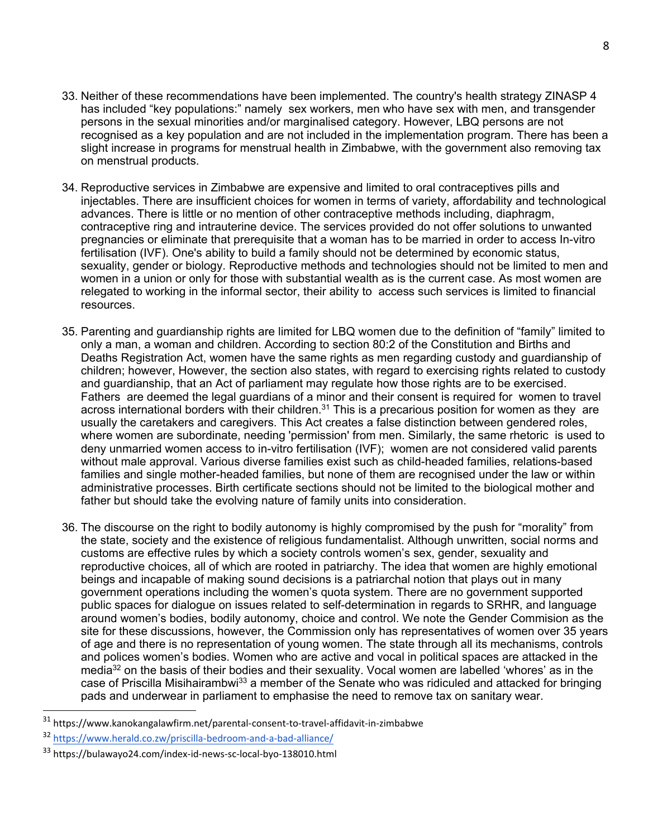- 33. Neither of these recommendations have been implemented. The country's health strategy ZINASP 4 has included "key populations:" namely sex workers, men who have sex with men, and transgender persons in the sexual minorities and/or marginalised category. However, LBQ persons are not recognised as <sup>a</sup> key population and are not included in the implementation program. There has been <sup>a</sup> slight increase in programs for menstrual health in Zimbabwe, with the government also removing tax on menstrual products.
- 34. Reproductive services in Zimbabwe are expensive and limited to oral contraceptives pills and injectables. There are insufficient choices for women in terms of variety, affordability and technological advances. There is little or no mention of other contraceptive methods including, diaphragm, contraceptive ring and intrauterine device. The services provided do not offer solutions to unwanted pregnancies or eliminate that prerequisite that <sup>a</sup> woman has to be married in order to access In-vitro fertilisation (IVF). One's ability to build <sup>a</sup> family should not be determined by economic status, sexuality, gender or biology. Reproductive methods and technologies should not be limited to men and women in <sup>a</sup> union or only for those with substantial wealth as is the current case. As most women are relegated to working in the informal sector, their ability to access such services is limited to financial resources.
- 35. Parenting and guardianship rights are limited for LBQ women due to the definition of "family" limited to only <sup>a</sup> man, <sup>a</sup> woman and children. According to section 80:2 of the Constitution and Births and Deaths Registration Act, women have the same rights as men regarding custody and guardianship of children; however, However, the section also states, with regard to exercising rights related to custody and guardianship, that an Act of parliament may regulate how those rights are to be exercised. Fathers are deemed the legal guardians of <sup>a</sup> minor and their consent is required for women to travel across international borders with their children. $^{\rm 31}$  This is a precarious position for women as they  $\,$  are usually the caretakers and caregivers. This Act creates <sup>a</sup> false distinction between gendered roles, where women are subordinate, needing 'permission' from men. Similarly, the same rhetoric is used to deny unmarried women access to in-vitro fertilisation (IVF); women are not considered valid parents without male approval. Various diverse families exist such as child-headed families, relations-based families and single mother-headed families, but none of them are recognised under the law or within administrative processes. Birth certificate sections should not be limited to the biological mother and father but should take the evolving nature of family units into consideration.
- 36. The discourse on the right to bodily autonomy is highly compromised by the push for "morality" from the state, society and the existence of religious fundamentalist. Although unwritten, social norms and customs are effective rules by which <sup>a</sup> society controls women'<sup>s</sup> sex, gender, sexuality and reproductive choices, all of which are rooted in patriarchy. The idea that women are highly emotional beings and incapable of making sound decisions is <sup>a</sup> patriarchal notion that plays out in many government operations including the women'<sup>s</sup> quota system. There are no government supported public spaces for dialogue on issues related to self-determination in regards to SRHR, and language around women'<sup>s</sup> bodies, bodily autonomy, choice and control. We note the Gender Commision as the site for these discussions, however, the Commission only has representatives of women over 35 years of age and there is no representation of young women. The state through all its mechanisms, controls and polices women'<sup>s</sup> bodies. Women who are active and vocal in political spaces are attacked in the media<sup>32</sup> on the basis of their bodies and their sexuality. Vocal women are labelled 'whores' as in the case of Priscilla Misihairambwi<sup>33</sup> a member of the Senate who was ridiculed and attacked for bringing pads and underwear in parliament to emphasise the need to remove tax on sanitary wear.

<sup>&</sup>lt;sup>31</sup> <https://www.kanokangalawfirm.net/parental-consent-to-travel-affidavit-in-zimbabwe>

<sup>32</sup> <https://www.herald.co.zw/priscilla-bedroom-and-a-bad-alliance/>

<sup>&</sup>lt;sup>33</sup> <https://bulawayo24.com/index-id-news-sc-local-byo-138010.html>